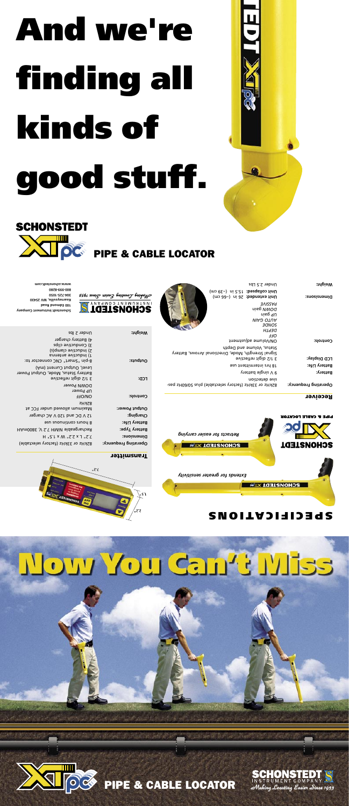# Now You Can't Miss



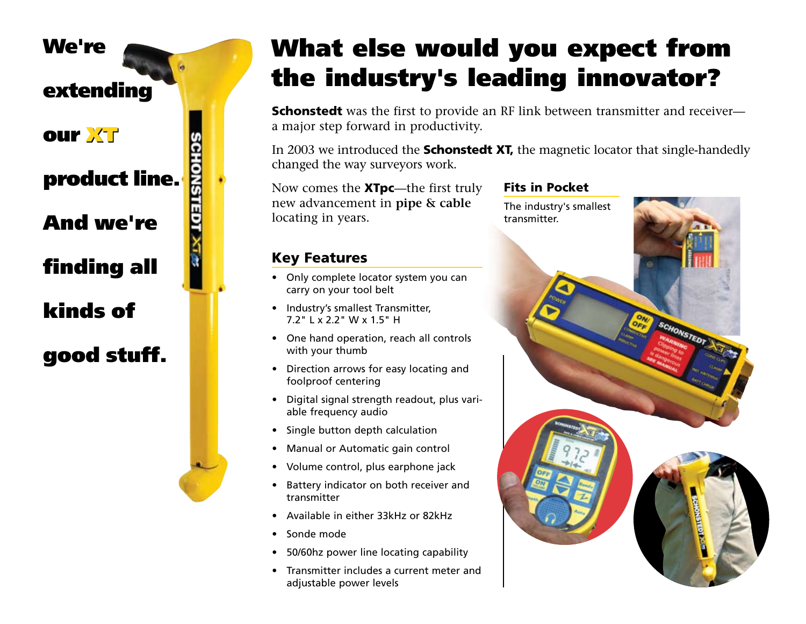

#### What else would you expect from What else would you expect from the industry's leading innovator? the industry's leading innovator?  $S_{\rm eff}$  the first to provide an  $\mathcal{F}_{\rm eff}$  link between transmitter and receiver—

**Schonstedt** was the first to provide an RF link between transmitter and receivera major step forward in productivity.

In 2003 we introduced the **Schonstedt XT**, the magnetic locator that single-handedly changed the way surveyors work.

Now comes the **XTpc**—the first truly new advancement in **pipe & cable**  locating in years. Now comes the  $\lambda$  ipc—the first truly

#### **Key Features** • Industry's smallest Transmitter,

- Only complete locator system you can carry on your tool belt
- Industry's smallest Transmitter, 7.2" L x 2.2" W x 1.5" H
- One hand operation, reach all controls with your thumb
- Direction arrows for easy locating and foolproof centering
- Digital signal strength readout, plus variable frequency audio
	- Single button depth calculation
- Manual or Automatic gain control
- Volume control, plus earphone jack
- Battery indicator on both receiver and transmitter
	- Available in either 33kHz or 82kHz
- Sonde mode
- 50/60hz power line locating capability
- • Transmitter includes a current meter and adjustable power levels

### ruly **Fits in Pocket**